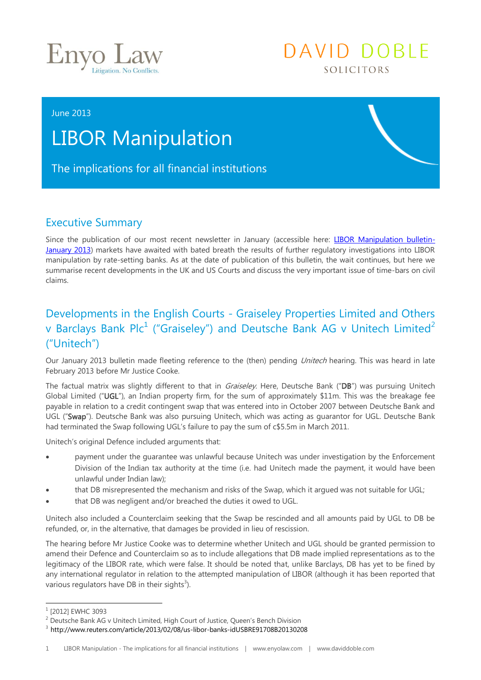

## DAVID DOBLE SOLICITORS

#### June 2013

# LIBOR Manipulation

## The implications for all financial institutions

## Executive Summary

Since the publication of our most recent newsletter in January (accessible here: [LIBOR Manipulation bulletin-](http://media.wix.com/ugd/a119a3_9f95ba134c07eee8cabb3973f4c80062.pdf)[January 2013\)](http://media.wix.com/ugd/a119a3_9f95ba134c07eee8cabb3973f4c80062.pdf) markets have awaited with bated breath the results of further regulatory investigations into LIBOR manipulation by rate-setting banks. As at the date of publication of this bulletin, the wait continues, but here we summarise recent developments in the UK and US Courts and discuss the very important issue of time-bars on civil claims.

## Developments in the English Courts - Graiseley Properties Limited and Others v Barclays Bank Plc<sup>1</sup> ("Graiseley") and Deutsche Bank AG v Unitech Limited<sup>2</sup> ("Unitech")

Our January 2013 bulletin made fleeting reference to the (then) pending Unitech hearing. This was heard in late February 2013 before Mr Justice Cooke.

The factual matrix was slightly different to that in *Graiseley*. Here, Deutsche Bank ("DB") was pursuing Unitech Global Limited ("UGL"), an Indian property firm, for the sum of approximately \$11m. This was the breakage fee payable in relation to a credit contingent swap that was entered into in October 2007 between Deutsche Bank and UGL ("Swap"). Deutsche Bank was also pursuing Unitech, which was acting as quarantor for UGL. Deutsche Bank had terminated the Swap following UGL's failure to pay the sum of c\$5.5m in March 2011.

Unitech's original Defence included arguments that:

- payment under the guarantee was unlawful because Unitech was under investigation by the Enforcement Division of the Indian tax authority at the time (i.e. had Unitech made the payment, it would have been unlawful under Indian law);
- that DB misrepresented the mechanism and risks of the Swap, which it argued was not suitable for UGL;
- that DB was negligent and/or breached the duties it owed to UGL.

Unitech also included a Counterclaim seeking that the Swap be rescinded and all amounts paid by UGL to DB be refunded, or, in the alternative, that damages be provided in lieu of rescission.

The hearing before Mr Justice Cooke was to determine whether Unitech and UGL should be granted permission to amend their Defence and Counterclaim so as to include allegations that DB made implied representations as to the legitimacy of the LIBOR rate, which were false. It should be noted that, unlike Barclays, DB has yet to be fined by any international regulator in relation to the attempted manipulation of LIBOR (although it has been reported that various regulators have DB in their sights<sup>3</sup>).

-

<sup>1</sup> [2012] EWHC 3093

<sup>&</sup>lt;sup>2</sup> Deutsche Bank AG v Unitech Limited, High Court of Justice, Queen's Bench Division

<sup>3</sup> <http://www.reuters.com/article/2013/02/08/us-libor-banks-idUSBRE91708B20130208>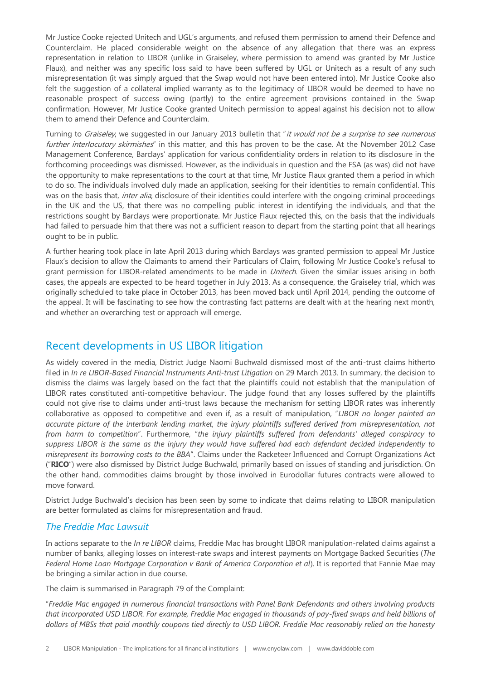Mr Justice Cooke rejected Unitech and UGL's arguments, and refused them permission to amend their Defence and Counterclaim. He placed considerable weight on the absence of any allegation that there was an express representation in relation to LIBOR (unlike in Graiseley, where permission to amend was granted by Mr Justice Flaux), and neither was any specific loss said to have been suffered by UGL or Unitech as a result of any such misrepresentation (it was simply argued that the Swap would not have been entered into). Mr Justice Cooke also felt the suggestion of a collateral implied warranty as to the legitimacy of LIBOR would be deemed to have no reasonable prospect of success owing (partly) to the entire agreement provisions contained in the Swap confirmation. However, Mr Justice Cooke granted Unitech permission to appeal against his decision not to allow them to amend their Defence and Counterclaim.

Turning to Graiseley, we suggested in our January 2013 bulletin that "it would not be a surprise to see numerous further interlocutory skirmishes" in this matter, and this has proven to be the case. At the November 2012 Case Management Conference, Barclays' application for various confidentiality orders in relation to its disclosure in the forthcoming proceedings was dismissed. However, as the individuals in question and the FSA (as was) did not have the opportunity to make representations to the court at that time, Mr Justice Flaux granted them a period in which to do so. The individuals involved duly made an application, seeking for their identities to remain confidential. This was on the basis that, *inter alia*, disclosure of their identities could interfere with the ongoing criminal proceedings in the UK and the US, that there was no compelling public interest in identifying the individuals, and that the restrictions sought by Barclays were proportionate. Mr Justice Flaux rejected this, on the basis that the individuals had failed to persuade him that there was not a sufficient reason to depart from the starting point that all hearings ought to be in public.

A further hearing took place in late April 2013 during which Barclays was granted permission to appeal Mr Justice Flaux's decision to allow the Claimants to amend their Particulars of Claim, following Mr Justice Cooke's refusal to grant permission for LIBOR-related amendments to be made in *Unitech*. Given the similar issues arising in both cases, the appeals are expected to be heard together in July 2013. As a consequence, the Graiseley trial, which was originally scheduled to take place in October 2013, has been moved back until April 2014, pending the outcome of the appeal. It will be fascinating to see how the contrasting fact patterns are dealt with at the hearing next month, and whether an overarching test or approach will emerge.

### Recent developments in US LIBOR litigation

As widely covered in the media, District Judge Naomi Buchwald dismissed most of the anti-trust claims hitherto filed in *In re LIBOR-Based Financial Instruments Anti-trust Litigation* on 29 March 2013. In summary, the decision to dismiss the claims was largely based on the fact that the plaintiffs could not establish that the manipulation of LIBOR rates constituted anti-competitive behaviour. The judge found that any losses suffered by the plaintiffs could not give rise to claims under anti-trust laws because the mechanism for setting LIBOR rates was inherently collaborative as opposed to competitive and even if, as a result of manipulation, "*LIBOR no longer painted an accurate picture of the interbank lending market, the injury plaintiffs suffered derived from misrepresentation, not from harm to competition*". Furthermore, "*the injury plaintiffs suffered from defendants' alleged conspiracy to suppress LIBOR is the same as the injury they would have suffered had each defendant decided independently to misrepresent its borrowing costs to the BBA*". Claims under the Racketeer Influenced and Corrupt Organizations Act ("**RICO**") were also dismissed by District Judge Buchwald, primarily based on issues of standing and jurisdiction. On the other hand, commodities claims brought by those involved in Eurodollar futures contracts were allowed to move forward.

District Judge Buchwald's decision has been seen by some to indicate that claims relating to LIBOR manipulation are better formulated as claims for misrepresentation and fraud.

#### *The Freddie Mac Lawsuit*

In actions separate to the *In re LIBOR* claims, Freddie Mac has brought LIBOR manipulation-related claims against a number of banks, alleging losses on interest-rate swaps and interest payments on Mortgage Backed Securities (*The Federal Home Loan Mortgage Corporation v Bank of America Corporation et al*). It is reported that Fannie Mae may be bringing a similar action in due course.

The claim is summarised in Paragraph 79 of the Complaint:

"*Freddie Mac engaged in numerous financial transactions with Panel Bank Defendants and others involving products that incorporated USD LIBOR. For example, Freddie Mac engaged in thousands of pay-fixed swaps and held billions of dollars of MBSs that paid monthly coupons tied directly to USD LIBOR. Freddie Mac reasonably relied on the honesty*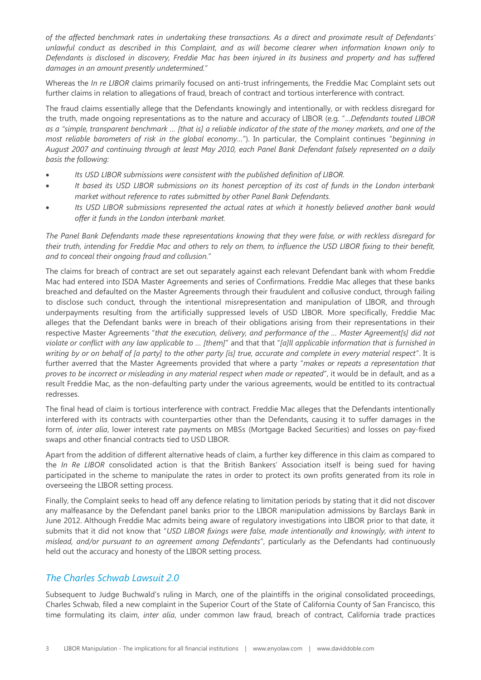*of the affected benchmark rates in undertaking these transactions. As a direct and proximate result of Defendants' unlawful conduct as described in this Complaint, and as will become clearer when information known only to Defendants is disclosed in discovery, Freddie Mac has been injured in its business and property and has suffered damages in an amount presently undetermined.*"

Whereas the *In re LIBOR* claims primarily focused on anti-trust infringements, the Freddie Mac Complaint sets out further claims in relation to allegations of fraud, breach of contract and tortious interference with contract.

The fraud claims essentially allege that the Defendants knowingly and intentionally, or with reckless disregard for the truth, made ongoing representations as to the nature and accuracy of LIBOR (e.g. "…*Defendants touted LIBOR as a "simple, transparent benchmark … [that is] a reliable indicator of the state of the money markets, and one of the most reliable barometers of risk in the global economy…*"). In particular, the Complaint continues "*beginning in August 2007 and continuing through at least May 2010, each Panel Bank Defendant falsely represented on a daily basis the following:*

- *Its USD LIBOR submissions were consistent with the published definition of LIBOR.*
- *It based its USD LIBOR submissions on its honest perception of its cost of funds in the London interbank market without reference to rates submitted by other Panel Bank Defendants.*
- *Its USD LIBOR submissions represented the actual rates at which it honestly believed another bank would offer it funds in the London interbank market.*

*The Panel Bank Defendants made these representations knowing that they were false, or with reckless disregard for their truth, intending for Freddie Mac and others to rely on them, to influence the USD LIBOR fixing to their benefit, and to conceal their ongoing fraud and collusion.*"

The claims for breach of contract are set out separately against each relevant Defendant bank with whom Freddie Mac had entered into ISDA Master Agreements and series of Confirmations. Freddie Mac alleges that these banks breached and defaulted on the Master Agreements through their fraudulent and collusive conduct, through failing to disclose such conduct, through the intentional misrepresentation and manipulation of LIBOR, and through underpayments resulting from the artificially suppressed levels of USD LIBOR. More specifically, Freddie Mac alleges that the Defendant banks were in breach of their obligations arising from their representations in their respective Master Agreements "*that the execution, delivery, and performance of the … Master Agreement[s] did not violate or conflict with any law applicable to … [them]*" and that that "*[a]ll applicable information that is furnished in writing by or on behalf of [a party] to the other party [is] true, accurate and complete in every material respect*". It is further averred that the Master Agreements provided that where a party "*makes or repeats a representation that proves to be incorrect or misleading in any material respect when made or repeated*", it would be in default, and as a result Freddie Mac, as the non-defaulting party under the various agreements, would be entitled to its contractual redresses.

The final head of claim is tortious interference with contract. Freddie Mac alleges that the Defendants intentionally interfered with its contracts with counterparties other than the Defendants, causing it to suffer damages in the form of, *inter alia*, lower interest rate payments on MBSs (Mortgage Backed Securities) and losses on pay-fixed swaps and other financial contracts tied to USD LIBOR.

Apart from the addition of different alternative heads of claim, a further key difference in this claim as compared to the *In Re LIBOR* consolidated action is that the British Bankers' Association itself is being sued for having participated in the scheme to manipulate the rates in order to protect its own profits generated from its role in overseeing the LIBOR setting process.

Finally, the Complaint seeks to head off any defence relating to limitation periods by stating that it did not discover any malfeasance by the Defendant panel banks prior to the LIBOR manipulation admissions by Barclays Bank in June 2012. Although Freddie Mac admits being aware of regulatory investigations into LIBOR prior to that date, it submits that it did not know that "*USD LIBOR fixings were false, made intentionally and knowingly, with intent to mislead, and/or pursuant to an agreement among Defendants*", particularly as the Defendants had continuously held out the accuracy and honesty of the LIBOR setting process.

#### *The Charles Schwab Lawsuit 2.0*

Subsequent to Judge Buchwald's ruling in March, one of the plaintiffs in the original consolidated proceedings, Charles Schwab, filed a new complaint in the Superior Court of the State of California County of San Francisco, this time formulating its claim, *inter alia*, under common law fraud, breach of contract, California trade practices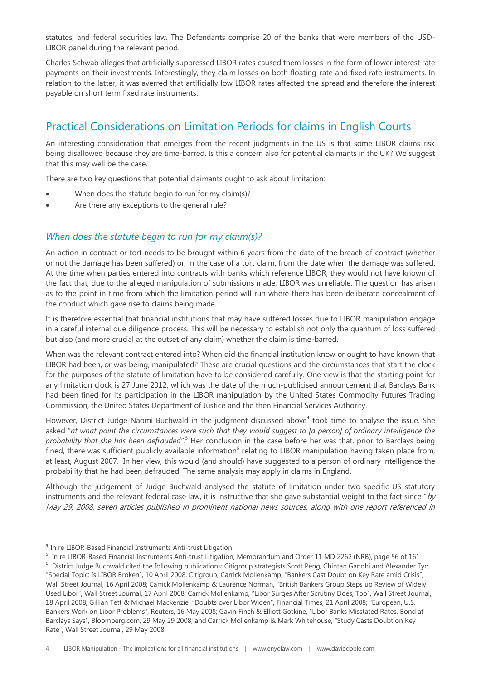statutes, and federal securities law. The Defendants comprise 20 of the banks that were members of the USD-LIBOR panel during the relevant period.

Charles Schwab alleges that artificially suppressed LIBOR rates caused them losses in the form of lower interest rate payments on their investments. Interestingly, they claim losses on both floating-rate and fixed rate instruments. In relation to the latter, it was averred that artificially low LIBOR rates affected the spread and therefore the interest payable on short term fixed rate instruments.

## Practical Considerations on Limitation Periods for claims in English Courts

An interesting consideration that emerges from the recent judgments in the US is that some LIBOR claims risk being disallowed because they are time-barred. Is this a concern also for potential claimants in the UK? We suggest that this may well be the case.

There are two key questions that potential claimants ought to ask about limitation:

- When does the statute begin to run for my claim(s)?
- Are there any exceptions to the general rule?

#### *When does the statute begin to run for my claim(s)?*

An action in contract or tort needs to be brought within 6 years from the date of the breach of contract (whether or not the damage has been suffered) or, in the case of a tort claim, from the date when the damage was suffered. At the time when parties entered into contracts with banks which reference LIBOR, they would not have known of the fact that, due to the alleged manipulation of submissions made, LIBOR was unreliable. The question has arisen as to the point in time from which the limitation period will run where there has been deliberate concealment of the conduct which gave rise to claims being made.

It is therefore essential that financial institutions that may have suffered losses due to LIBOR manipulation engage in a careful internal due diligence process. This will be necessary to establish not only the quantum of loss suffered but also (and more crucial at the outset of any claim) whether the claim is time-barred.

When was the relevant contract entered into? When did the financial institution know or ought to have known that LIBOR had been, or was being, manipulated? These are crucial questions and the circumstances that start the clock for the purposes of the statute of limitation have to be considered carefully. One view is that the starting point for any limitation clock is 27 June 2012, which was the date of the much-publicised announcement that Barclays Bank had been fined for its participation in the LIBOR manipulation by the United States Commodity Futures Trading Commission, the United States Department of Justice and the then Financial Services Authority.

However, District Judge Naomi Buchwald in the judgment discussed above<sup>4</sup> took time to analyse the issue. She asked "*at what point the circumstances were such that they would suggest to [a person] of ordinary intelligence the*  probability that she has been defrauded".<sup>5</sup> Her conclusion in the case before her was that, prior to Barclays being fined, there was sufficient publicly available information<sup>6</sup> relating to LIBOR manipulation having taken place from, at least, August 2007. In her view, this would (and should) have suggested to a person of ordinary intelligence the probability that he had been defrauded. The same analysis may apply in claims in England.

Although the judgement of Judge Buchwald analysed the statute of limitation under two specific US statutory instruments and the relevant federal case law, it is instructive that she gave substantial weight to the fact since " $by$ May 29, 2008, seven articles published in prominent national news sources, along with one report referenced in

-

<sup>4</sup> In re LIBOR-Based Financial Instruments Anti-trust Litigation

<sup>&</sup>lt;sup>5</sup> In re LIBOR-Based Financial Instruments Anti-trust Litigation, Memorandum and Order 11 MD 2262 (NRB), page 56 of 161

 $6$  District Judge Buchwald cited the following publications: Citigroup strategists Scott Peng, Chintan Gandhi and Alexander Tyo, "Special Topic: Is LIBOR Broken", 10 April 2008, Citigroup; Carrick Mollenkamp, "Bankers Cast Doubt on Key Rate amid Crisis", Wall Street Journal, 16 April 2008; Carrick Mollenkamp & Laurence Norman, "British Bankers Group Steps up Review of Widely Used Libor", Wall Street Journal, 17 April 2008; Carrick Mollenkamp, "Libor Surges After Scrutiny Does, Too", Wall Street Journal, 18 April 2008; Gillian Tett & Michael Mackenzie, "Doubts over Libor Widen", Financial Times, 21 April 2008; "European, U.S. Bankers Work on Libor Problems", Reuters, 16 May 2008; Gavin Finch & Elliott Gotkine, "Libor Banks Misstated Rates, Bond at Barclays Says", Bloomberg.com, 29 May 29 2008; and Carrick Mollenkamp & Mark Whitehouse, "Study Casts Doubt on Key Rate", Wall Street Journal, 29 May 2008.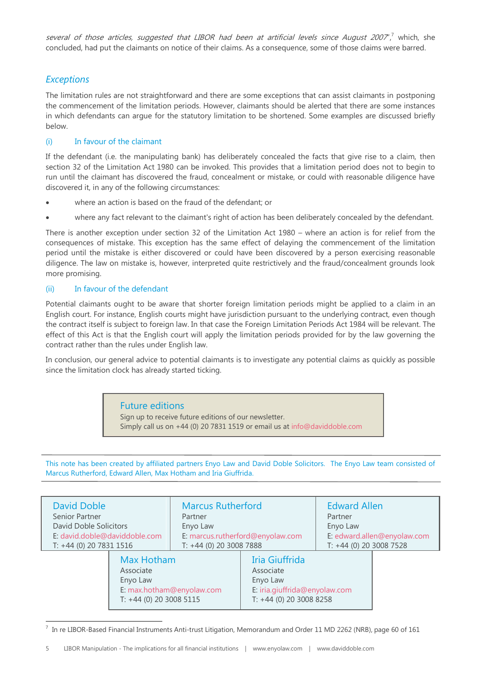several of those articles, suggested that LIBOR had been at artificial levels since August 2007", which, she concluded, had put the claimants on notice of their claims. As a consequence, some of those claims were barred.

#### *Exceptions*

The limitation rules are not straightforward and there are some exceptions that can assist claimants in postponing the commencement of the limitation periods. However, claimants should be alerted that there are some instances in which defendants can argue for the statutory limitation to be shortened. Some examples are discussed briefly below.

#### (i) In favour of the claimant

If the defendant (i.e. the manipulating bank) has deliberately concealed the facts that give rise to a claim, then section 32 of the Limitation Act 1980 can be invoked. This provides that a limitation period does not to begin to run until the claimant has discovered the fraud, concealment or mistake, or could with reasonable diligence have discovered it, in any of the following circumstances:

- where an action is based on the fraud of the defendant; or
- where any fact relevant to the claimant's right of action has been deliberately concealed by the defendant.

There is another exception under section 32 of the Limitation Act 1980 – where an action is for relief from the consequences of mistake. This exception has the same effect of delaying the commencement of the limitation period until the mistake is either discovered or could have been discovered by a person exercising reasonable diligence. The law on mistake is, however, interpreted quite restrictively and the fraud/concealment grounds look more promising.

#### (ii) In favour of the defendant

Potential claimants ought to be aware that shorter foreign limitation periods might be applied to a claim in an English court. For instance, English courts might have jurisdiction pursuant to the underlying contract, even though the contract itself is subject to foreign law. In that case the Foreign Limitation Periods Act 1984 will be relevant. The effect of this Act is that the English court will apply the limitation periods provided for by the law governing the contract rather than the rules under English law.

In conclusion, our general advice to potential claimants is to investigate any potential claims as quickly as possible since the limitation clock has already started ticking.

#### Future editions

Sign up to receive future editions of our newsletter. Simply call us on +44 (0) 20 7831 1519 or email us at [info@daviddoble.com](mailto:info@daviddoble.com)

This note has been created by affiliated partners Enyo Law and David Doble Solicitors. The Enyo Law team consisted of Marcus Rutherford, Edward Allen, Max Hotham and Iria Giuffrida.

| <b>David Doble</b>            |                                                                                             | <b>Marcus Rutherford</b>         |                                                                                                     | <b>Edward Allen</b>         |  |
|-------------------------------|---------------------------------------------------------------------------------------------|----------------------------------|-----------------------------------------------------------------------------------------------------|-----------------------------|--|
| Senior Partner                |                                                                                             | Partner                          |                                                                                                     | Partner                     |  |
| David Doble Solicitors        |                                                                                             | Enyo Law                         |                                                                                                     | Enyo Law                    |  |
| E: david.doble@daviddoble.com |                                                                                             | E: marcus.rutherford@enyolaw.com |                                                                                                     | E: edward.allen@enyolaw.com |  |
| T: +44 (0) 20 7831 1516       |                                                                                             | T: +44 (0) 20 3008 7888          |                                                                                                     | T: +44 (0) 20 3008 7528     |  |
|                               | Max Hotham<br>Associate<br>Enyo Law<br>E: max.hotham@enyolaw.com<br>T: +44 (0) 20 3008 5115 |                                  | Iria Giuffrida<br>Associate<br>Enyo Law<br>E: iria.giuffrida@enyolaw.com<br>T: +44 (0) 20 3008 8258 |                             |  |

<sup>-</sup> $^7$  In re LIBOR-Based Financial Instruments Anti-trust Litigation, Memorandum and Order 11 MD 2262 (NRB), page 60 of 161